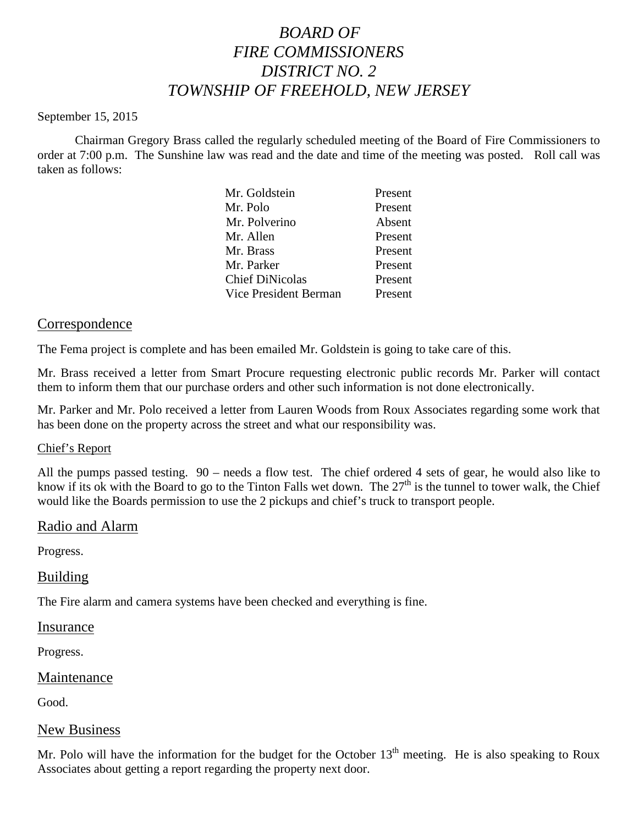# *BOARD OF FIRE COMMISSIONERS DISTRICT NO. 2 TOWNSHIP OF FREEHOLD, NEW JERSEY*

#### September 15, 2015

Chairman Gregory Brass called the regularly scheduled meeting of the Board of Fire Commissioners to order at 7:00 p.m. The Sunshine law was read and the date and time of the meeting was posted. Roll call was taken as follows:

| Present |
|---------|
| Present |
| Absent  |
| Present |
| Present |
| Present |
| Present |
| Present |
|         |

## Correspondence

The Fema project is complete and has been emailed Mr. Goldstein is going to take care of this.

Mr. Brass received a letter from Smart Procure requesting electronic public records Mr. Parker will contact them to inform them that our purchase orders and other such information is not done electronically.

Mr. Parker and Mr. Polo received a letter from Lauren Woods from Roux Associates regarding some work that has been done on the property across the street and what our responsibility was.

## Chief's Report

All the pumps passed testing. 90 – needs a flow test. The chief ordered 4 sets of gear, he would also like to know if its ok with the Board to go to the Tinton Falls wet down. The  $27<sup>th</sup>$  is the tunnel to tower walk, the Chief would like the Boards permission to use the 2 pickups and chief's truck to transport people.

## Radio and Alarm

Progress.

## Building

The Fire alarm and camera systems have been checked and everything is fine.

#### Insurance

Progress.

## Maintenance

Good.

## New Business

Mr. Polo will have the information for the budget for the October  $13<sup>th</sup>$  meeting. He is also speaking to Roux Associates about getting a report regarding the property next door.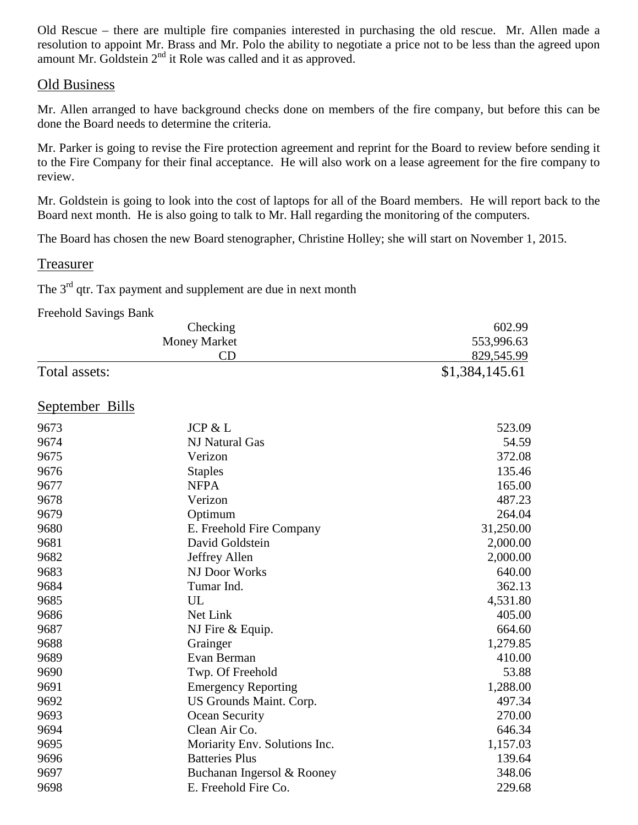Old Rescue – there are multiple fire companies interested in purchasing the old rescue. Mr. Allen made a resolution to appoint Mr. Brass and Mr. Polo the ability to negotiate a price not to be less than the agreed upon amount Mr. Goldstein  $2<sup>nd</sup>$  it Role was called and it as approved.

### Old Business

Mr. Allen arranged to have background checks done on members of the fire company, but before this can be done the Board needs to determine the criteria.

Mr. Parker is going to revise the Fire protection agreement and reprint for the Board to review before sending it to the Fire Company for their final acceptance. He will also work on a lease agreement for the fire company to review.

Mr. Goldstein is going to look into the cost of laptops for all of the Board members. He will report back to the Board next month. He is also going to talk to Mr. Hall regarding the monitoring of the computers.

The Board has chosen the new Board stenographer, Christine Holley; she will start on November 1, 2015.

## Treasurer

The  $3<sup>rd</sup>$  qtr. Tax payment and supplement are due in next month

#### Freehold Savings Bank

| Checking<br><b>Money Market</b> |                               | 602.99         |
|---------------------------------|-------------------------------|----------------|
|                                 |                               | 553,996.63     |
|                                 | CD                            | 829,545.99     |
| Total assets:                   |                               | \$1,384,145.61 |
| <b>September Bills</b>          |                               |                |
| 9673                            | JCP & L                       | 523.09         |
| 9674                            | NJ Natural Gas                | 54.59          |
| 9675                            | Verizon                       | 372.08         |
| 9676                            | <b>Staples</b>                | 135.46         |
| 9677                            | <b>NFPA</b>                   | 165.00         |
| 9678                            | Verizon                       | 487.23         |
| 9679                            | Optimum                       | 264.04         |
| 9680                            | E. Freehold Fire Company      | 31,250.00      |
| 9681                            | David Goldstein               | 2,000.00       |
| 9682                            | Jeffrey Allen                 | 2,000.00       |
| 9683                            | NJ Door Works                 | 640.00         |
| 9684                            | Tumar Ind.                    | 362.13         |
| 9685                            | UL                            | 4,531.80       |
| 9686                            | Net Link                      | 405.00         |
| 9687                            | NJ Fire & Equip.              | 664.60         |
| 9688                            | Grainger                      | 1,279.85       |
| 9689                            | Evan Berman                   | 410.00         |
| 9690                            | Twp. Of Freehold              | 53.88          |
| 9691                            | <b>Emergency Reporting</b>    | 1,288.00       |
| 9692                            | US Grounds Maint. Corp.       | 497.34         |
| 9693                            | Ocean Security                | 270.00         |
| 9694                            | Clean Air Co.                 | 646.34         |
| 9695                            | Moriarity Env. Solutions Inc. | 1,157.03       |
| 9696                            | <b>Batteries Plus</b>         | 139.64         |
| 9697                            | Buchanan Ingersol & Rooney    | 348.06         |
| 9698                            | E. Freehold Fire Co.          | 229.68         |